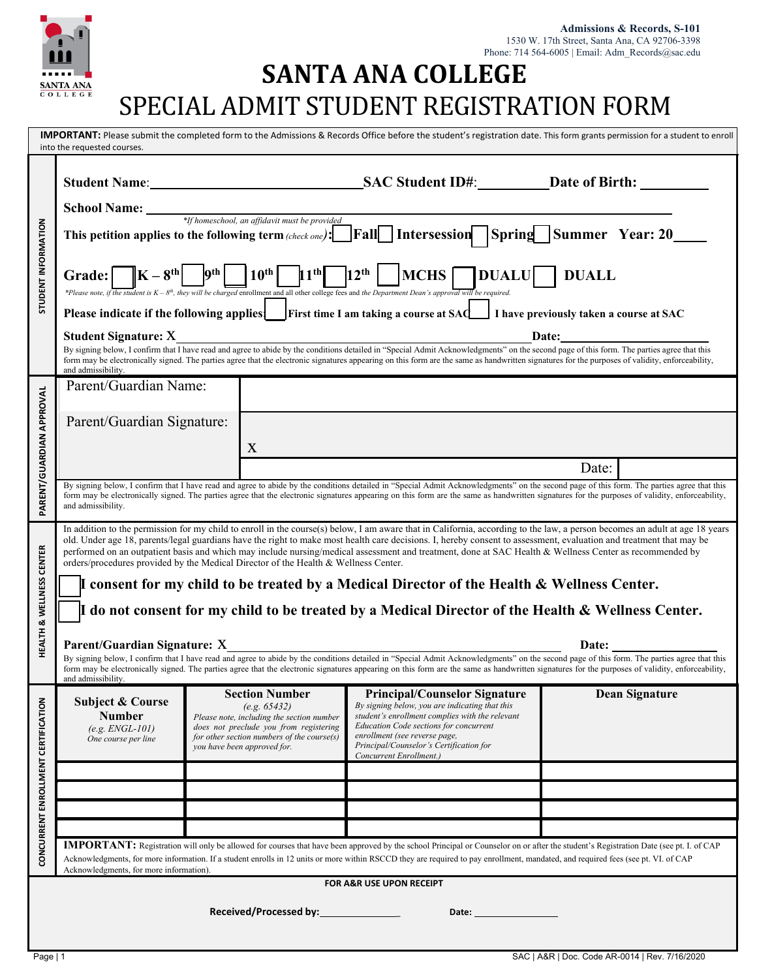

# **SANTA ANA COLLEGE** SPECIAL ADMIT STUDENT REGISTRATION FORM

| <b>IMPORTANT:</b> Please submit the completed form to the Admissions & Records Office before the student's registration date. This form grants permission for a student to enroll<br>into the requested courses.                                                                                                                                                                                                            |                                                                                                                                                                                                                                                                                                                                                                                                                                                                                                                                                                                                                                                                                                                                                                                                           |   |                                                                                                                                                                                                                                                                                                   |                                                                                                                                                                                                 |
|-----------------------------------------------------------------------------------------------------------------------------------------------------------------------------------------------------------------------------------------------------------------------------------------------------------------------------------------------------------------------------------------------------------------------------|-----------------------------------------------------------------------------------------------------------------------------------------------------------------------------------------------------------------------------------------------------------------------------------------------------------------------------------------------------------------------------------------------------------------------------------------------------------------------------------------------------------------------------------------------------------------------------------------------------------------------------------------------------------------------------------------------------------------------------------------------------------------------------------------------------------|---|---------------------------------------------------------------------------------------------------------------------------------------------------------------------------------------------------------------------------------------------------------------------------------------------------|-------------------------------------------------------------------------------------------------------------------------------------------------------------------------------------------------|
| <b>STUDENT INFORMATION</b>                                                                                                                                                                                                                                                                                                                                                                                                  |                                                                                                                                                                                                                                                                                                                                                                                                                                                                                                                                                                                                                                                                                                                                                                                                           |   |                                                                                                                                                                                                                                                                                                   |                                                                                                                                                                                                 |
|                                                                                                                                                                                                                                                                                                                                                                                                                             |                                                                                                                                                                                                                                                                                                                                                                                                                                                                                                                                                                                                                                                                                                                                                                                                           |   |                                                                                                                                                                                                                                                                                                   |                                                                                                                                                                                                 |
|                                                                                                                                                                                                                                                                                                                                                                                                                             | School Name:<br>* <i>If homeschool, an affidavit must be provided</i><br>This petition applies to the following term (check one): $\boxed{\text{Fall}}$ Intersession Spring Summer Year: 20                                                                                                                                                                                                                                                                                                                                                                                                                                                                                                                                                                                                               |   |                                                                                                                                                                                                                                                                                                   |                                                                                                                                                                                                 |
|                                                                                                                                                                                                                                                                                                                                                                                                                             |                                                                                                                                                                                                                                                                                                                                                                                                                                                                                                                                                                                                                                                                                                                                                                                                           |   |                                                                                                                                                                                                                                                                                                   |                                                                                                                                                                                                 |
|                                                                                                                                                                                                                                                                                                                                                                                                                             |                                                                                                                                                                                                                                                                                                                                                                                                                                                                                                                                                                                                                                                                                                                                                                                                           |   | Please indicate if the following applies First time I am taking a course at SAC I have previously taken a course at SAC                                                                                                                                                                           |                                                                                                                                                                                                 |
|                                                                                                                                                                                                                                                                                                                                                                                                                             | Student Signature: X<br>By signing below, I confirm that I have read and agree to abide by the conditions detailed in "Special Admit Acknowledgments" on the second page of this form. The parties agree that this<br>By signing bel                                                                                                                                                                                                                                                                                                                                                                                                                                                                                                                                                                      |   |                                                                                                                                                                                                                                                                                                   |                                                                                                                                                                                                 |
|                                                                                                                                                                                                                                                                                                                                                                                                                             | and admissibility.                                                                                                                                                                                                                                                                                                                                                                                                                                                                                                                                                                                                                                                                                                                                                                                        |   |                                                                                                                                                                                                                                                                                                   | form may be electronically signed. The parties agree that the electronic signatures appearing on this form are the same as handwritten signatures for the purposes of validity, enforceability, |
| PARENT/GUARDIAN APPROVAL                                                                                                                                                                                                                                                                                                                                                                                                    | Parent/Guardian Name:                                                                                                                                                                                                                                                                                                                                                                                                                                                                                                                                                                                                                                                                                                                                                                                     |   |                                                                                                                                                                                                                                                                                                   |                                                                                                                                                                                                 |
|                                                                                                                                                                                                                                                                                                                                                                                                                             | Parent/Guardian Signature:                                                                                                                                                                                                                                                                                                                                                                                                                                                                                                                                                                                                                                                                                                                                                                                |   |                                                                                                                                                                                                                                                                                                   |                                                                                                                                                                                                 |
|                                                                                                                                                                                                                                                                                                                                                                                                                             |                                                                                                                                                                                                                                                                                                                                                                                                                                                                                                                                                                                                                                                                                                                                                                                                           | X |                                                                                                                                                                                                                                                                                                   |                                                                                                                                                                                                 |
|                                                                                                                                                                                                                                                                                                                                                                                                                             |                                                                                                                                                                                                                                                                                                                                                                                                                                                                                                                                                                                                                                                                                                                                                                                                           |   |                                                                                                                                                                                                                                                                                                   | Date:                                                                                                                                                                                           |
|                                                                                                                                                                                                                                                                                                                                                                                                                             | By signing below, I confirm that I have read and agree to abide by the conditions detailed in "Special Admit Acknowledgments" on the second page of this form. The parties agree that this<br>form may be electronically signed. The parties agree that the electronic signatures appearing on this form are the same as handwritten signatures for the purposes of validity, enforceability,<br>and admissibility.                                                                                                                                                                                                                                                                                                                                                                                       |   |                                                                                                                                                                                                                                                                                                   |                                                                                                                                                                                                 |
| HEALTH & WELLNESS CENTER                                                                                                                                                                                                                                                                                                                                                                                                    | In addition to the permission for my child to enroll in the course(s) below, I am aware that in California, according to the law, a person becomes an adult at age 18 years<br>old. Under age 18, parents/legal guardians have the right to make most health care decisions. I, hereby consent to assessment, evaluation and treatment that may be<br>performed on an outpatient basis and which may include nursing/medical assessment and treatment, done at SAC Health & Wellness Center as recommended by<br>orders/procedures provided by the Medical Director of the Health & Wellness Center.<br>I consent for my child to be treated by a Medical Director of the Health & Wellness Center.<br>I do not consent for my child to be treated by a Medical Director of the Health & Wellness Center. |   |                                                                                                                                                                                                                                                                                                   |                                                                                                                                                                                                 |
|                                                                                                                                                                                                                                                                                                                                                                                                                             |                                                                                                                                                                                                                                                                                                                                                                                                                                                                                                                                                                                                                                                                                                                                                                                                           |   |                                                                                                                                                                                                                                                                                                   |                                                                                                                                                                                                 |
|                                                                                                                                                                                                                                                                                                                                                                                                                             | <b>Parent/Guardian Signature:</b> X<br>By signing below, I confirm that I have read and agree to abide by the conditions detailed in "Special Admit Acknowledgments" on the second page of this form. The parties agree that this                                                                                                                                                                                                                                                                                                                                                                                                                                                                                                                                                                         |   |                                                                                                                                                                                                                                                                                                   |                                                                                                                                                                                                 |
|                                                                                                                                                                                                                                                                                                                                                                                                                             | form may be electronically signed. The parties agree that the electronic signatures appearing on this form are the same as handwritten signatures for the purposes of validity, enforceability,<br>and admissibility.                                                                                                                                                                                                                                                                                                                                                                                                                                                                                                                                                                                     |   |                                                                                                                                                                                                                                                                                                   |                                                                                                                                                                                                 |
| CONCURRENT ENROLLMENT CERTIFICATION                                                                                                                                                                                                                                                                                                                                                                                         | <b>Section Number</b><br><b>Subject &amp; Course</b><br>(e.g. 65432)<br><b>Number</b><br>Please note, including the section number<br>does not preclude you from registering<br>$(e.g. ENGL-101)$<br>for other section numbers of the course(s)<br>One course per line<br>you have been approved for.                                                                                                                                                                                                                                                                                                                                                                                                                                                                                                     |   | <b>Principal/Counselor Signature</b><br>By signing below, you are indicating that this<br>student's enrollment complies with the relevant<br><b>Education Code sections for concurrent</b><br>enrollment (see reverse page,<br>Principal/Counselor's Certification for<br>Concurrent Enrollment.) | <b>Dean Signature</b>                                                                                                                                                                           |
|                                                                                                                                                                                                                                                                                                                                                                                                                             |                                                                                                                                                                                                                                                                                                                                                                                                                                                                                                                                                                                                                                                                                                                                                                                                           |   |                                                                                                                                                                                                                                                                                                   |                                                                                                                                                                                                 |
|                                                                                                                                                                                                                                                                                                                                                                                                                             |                                                                                                                                                                                                                                                                                                                                                                                                                                                                                                                                                                                                                                                                                                                                                                                                           |   |                                                                                                                                                                                                                                                                                                   |                                                                                                                                                                                                 |
|                                                                                                                                                                                                                                                                                                                                                                                                                             |                                                                                                                                                                                                                                                                                                                                                                                                                                                                                                                                                                                                                                                                                                                                                                                                           |   |                                                                                                                                                                                                                                                                                                   |                                                                                                                                                                                                 |
| <b>IMPORTANT:</b> Registration will only be allowed for courses that have been approved by the school Principal or Counselor on or after the student's Registration Date (see pt. I. of CAP<br>Acknowledgments, for more information. If a student enrolls in 12 units or more within RSCCD they are required to pay enrollment, mandated, and required fees (see pt. VI. of CAP<br>Acknowledgments, for more information). |                                                                                                                                                                                                                                                                                                                                                                                                                                                                                                                                                                                                                                                                                                                                                                                                           |   |                                                                                                                                                                                                                                                                                                   |                                                                                                                                                                                                 |
| FOR A&R USE UPON RECEIPT                                                                                                                                                                                                                                                                                                                                                                                                    |                                                                                                                                                                                                                                                                                                                                                                                                                                                                                                                                                                                                                                                                                                                                                                                                           |   |                                                                                                                                                                                                                                                                                                   |                                                                                                                                                                                                 |
|                                                                                                                                                                                                                                                                                                                                                                                                                             |                                                                                                                                                                                                                                                                                                                                                                                                                                                                                                                                                                                                                                                                                                                                                                                                           |   |                                                                                                                                                                                                                                                                                                   |                                                                                                                                                                                                 |
|                                                                                                                                                                                                                                                                                                                                                                                                                             |                                                                                                                                                                                                                                                                                                                                                                                                                                                                                                                                                                                                                                                                                                                                                                                                           |   |                                                                                                                                                                                                                                                                                                   |                                                                                                                                                                                                 |